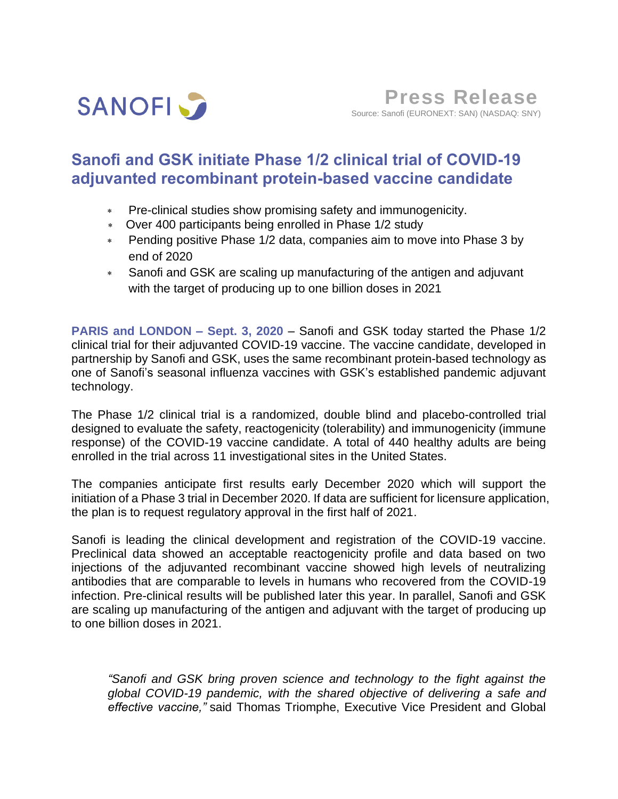

# **Sanofi and GSK initiate Phase 1/2 clinical trial of COVID-19 adjuvanted recombinant protein-based vaccine candidate**

- Pre-clinical studies show promising safety and immunogenicity.
- Over 400 participants being enrolled in Phase 1/2 study
- Pending positive Phase 1/2 data, companies aim to move into Phase 3 by end of 2020
- Sanofi and GSK are scaling up manufacturing of the antigen and adjuvant with the target of producing up to one billion doses in 2021

**PARIS and LONDON – Sept. 3, 2020** – Sanofi and GSK today started the Phase 1/2 clinical trial for their adjuvanted COVID-19 vaccine. The vaccine candidate, developed in partnership by Sanofi and GSK, uses the same recombinant protein-based technology as one of Sanofi's seasonal influenza vaccines with GSK's established pandemic adjuvant technology.

The Phase 1/2 clinical trial is a randomized, double blind and placebo-controlled trial designed to evaluate the safety, reactogenicity (tolerability) and immunogenicity (immune response) of the COVID-19 vaccine candidate. A total of 440 healthy adults are being enrolled in the trial across 11 investigational sites in the United States.

The companies anticipate first results early December 2020 which will support the initiation of a Phase 3 trial in December 2020. If data are sufficient for licensure application, the plan is to request regulatory approval in the first half of 2021.

Sanofi is leading the clinical development and registration of the COVID-19 vaccine. Preclinical data showed an acceptable reactogenicity profile and data based on two injections of the adjuvanted recombinant vaccine showed high levels of neutralizing antibodies that are comparable to levels in humans who recovered from the COVID-19 infection. Pre-clinical results will be published later this year. In parallel, Sanofi and GSK are scaling up manufacturing of the antigen and adjuvant with the target of producing up to one billion doses in 2021.

*"Sanofi and GSK bring proven science and technology to the fight against the global COVID-19 pandemic, with the shared objective of delivering a safe and effective vaccine,"* said Thomas Triomphe, Executive Vice President and Global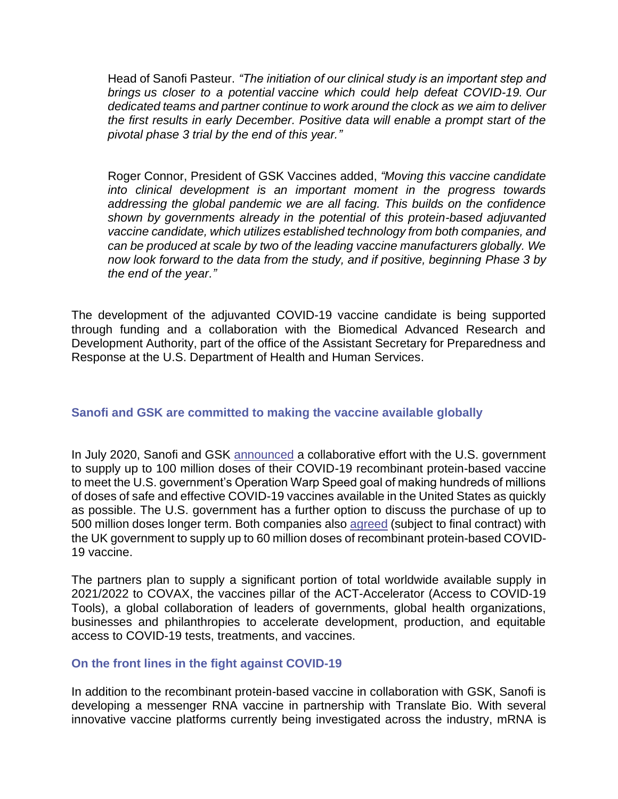Head of Sanofi Pasteur. *"The initiation of our clinical study is an important step and brings us closer to a potential vaccine which could help defeat COVID-19. Our dedicated teams and partner continue to work around the clock as we aim to deliver the first results in early December. Positive data will enable a prompt start of the pivotal phase 3 trial by the end of this year."*

Roger Connor, President of GSK Vaccines added, *"Moving this vaccine candidate into clinical development is an important moment in the progress towards addressing the global pandemic we are all facing. This builds on the confidence shown by governments already in the potential of this protein-based adjuvanted vaccine candidate, which utilizes established technology from both companies, and can be produced at scale by two of the leading vaccine manufacturers globally. We now look forward to the data from the study, and if positive, beginning Phase 3 by the end of the year."*

The development of the adjuvanted COVID-19 vaccine candidate is being supported through funding and a collaboration with the Biomedical Advanced Research and Development Authority, part of the office of the Assistant Secretary for Preparedness and Response at the U.S. Department of Health and Human Services.

## **Sanofi and GSK are committed to making the vaccine available globally**

In July 2020, Sanofi and GSK [announced](https://www.sanofi.com/en/media-room/press-releases/2020/2020-07-31-13-00-00) a collaborative effort with the U.S. government to supply up to 100 million doses of their COVID-19 recombinant protein-based vaccine to meet the U.S. government's Operation Warp Speed goal of making hundreds of millions of doses of safe and effective COVID-19 vaccines available in the United States as quickly as possible. The U.S. government has a further option to discuss the purchase of up to 500 million doses longer term. Both companies also [agreed](https://www.sanofi.com/en/media-room/press-releases/2020/2020-07-29-07-00-00) (subject to final contract) with the UK government to supply up to 60 million doses of recombinant protein-based COVID-19 vaccine.

The partners plan to supply a significant portion of total worldwide available supply in 2021/2022 to COVAX, the vaccines pillar of the ACT-Accelerator (Access to COVID‐19 Tools), a global collaboration of leaders of governments, global health organizations, businesses and philanthropies to accelerate development, production, and equitable access to COVID-19 tests, treatments, and vaccines.

## **On the front lines in the fight against COVID-19**

In addition to the recombinant protein-based vaccine in collaboration with GSK, Sanofi is developing a messenger RNA vaccine in partnership with Translate Bio. With several innovative vaccine platforms currently being investigated across the industry, mRNA is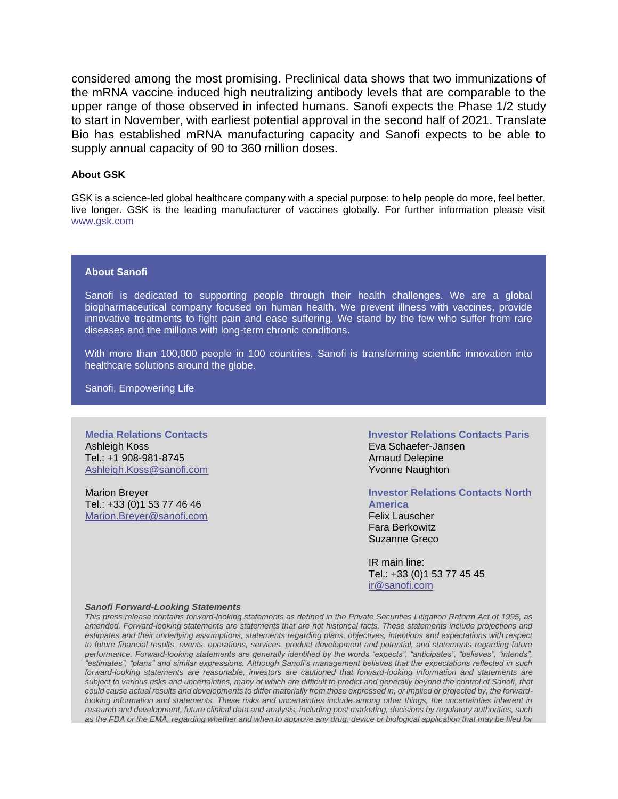considered among the most promising. Preclinical data shows that two immunizations of the mRNA vaccine induced high neutralizing antibody levels that are comparable to the upper range of those observed in infected humans. Sanofi expects the Phase 1/2 study to start in November, with earliest potential approval in the second half of 2021. Translate Bio has established mRNA manufacturing capacity and Sanofi expects to be able to supply annual capacity of 90 to 360 million doses.

#### **About GSK**

GSK is a science-led global healthcare company with a special purpose: to help people do more, feel better, live longer. GSK is the leading manufacturer of vaccines globally. For further information please visit [www.gsk.com](http://www.gsk.com/)

### **About Sanofi**

Sanofi is dedicated to supporting people through their health challenges. We are a global biopharmaceutical company focused on human health. We prevent illness with vaccines, provide innovative treatments to fight pain and ease suffering. We stand by the few who suffer from rare diseases and the millions with long-term chronic conditions.

With more than 100,000 people in 100 countries, Sanofi is transforming scientific innovation into healthcare solutions around the globe.

Sanofi, Empowering Life

**Media Relations Contacts** Ashleigh Koss Tel.: +1 908-981-8745 [Ashleigh.Koss@sanofi.com](mailto:Ashleigh.Koss@sanofi.com)

Marion Breyer Tel.: +33 (0)1 53 77 46 46 [Marion.Breyer@sanofi.com](mailto:Marion.Breyer@sanofi.com) **Investor Relations Contacts Paris** Eva Schaefer-Jansen Arnaud Delepine Yvonne Naughton

**Investor Relations Contacts North America**

Felix Lauscher Fara Berkowitz Suzanne Greco

IR main line: Tel.: +33 (0)1 53 77 45 45 [ir@sanofi.com](mailto:ir@sanofi.com)

#### *Sanofi Forward-Looking Statements*

*This press release contains forward-looking statements as defined in the Private Securities Litigation Reform Act of 1995, as amended. Forward-looking statements are statements that are not historical facts. These statements include projections and estimates and their underlying assumptions, statements regarding plans, objectives, intentions and expectations with respect to future financial results, events, operations, services, product development and potential, and statements regarding future performance. Forward-looking statements are generally identified by the words "expects", "anticipates", "believes", "intends", "estimates", "plans" and similar expressions. Although Sanofi's management believes that the expectations reflected in such forward-looking statements are reasonable, investors are cautioned that forward-looking information and statements are subject to various risks and uncertainties, many of which are difficult to predict and generally beyond the control of Sanofi, that could cause actual results and developments to differ materially from those expressed in, or implied or projected by, the forwardlooking information and statements. These risks and uncertainties include among other things, the uncertainties inherent in research and development, future clinical data and analysis, including post marketing, decisions by regulatory authorities, such as the FDA or the EMA, regarding whether and when to approve any drug, device or biological application that may be filed for*